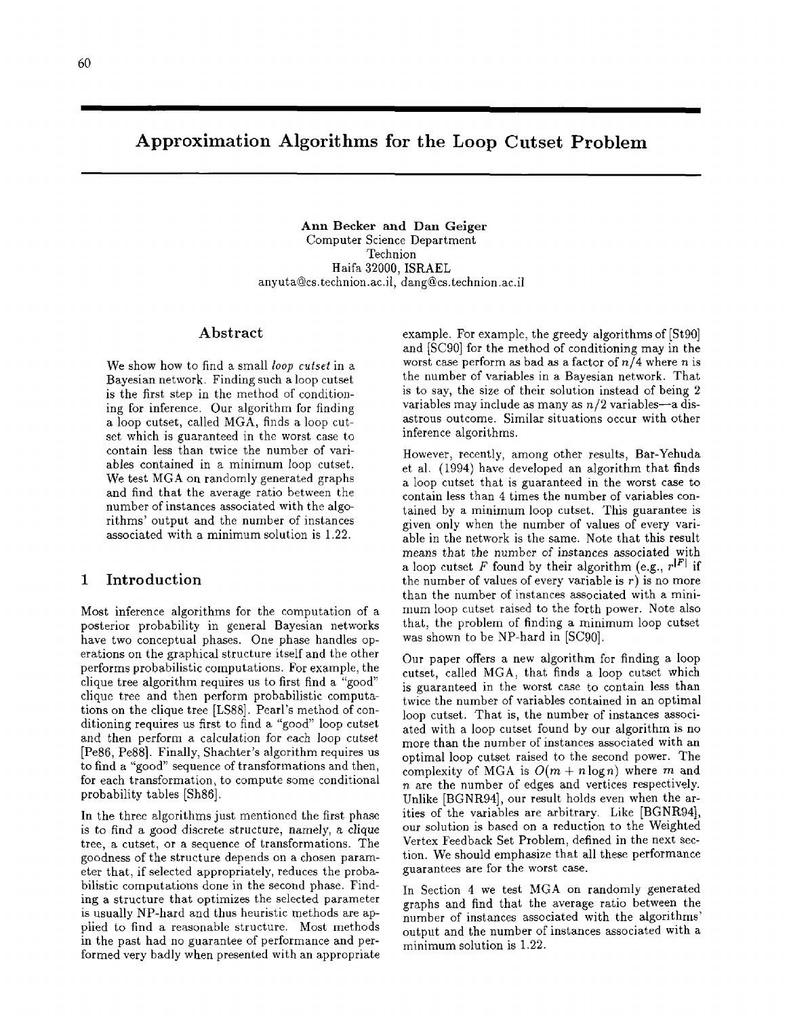# **Approximation Algorithms for the Loop Cutset Problem**

**Ann Becker and Dan Gelger** Computer Science Department Technion Haifa 32000, ISRAEL anyut a@cs. technion.ac.il, dang@cs.technion.ac.il

#### **Abstract**

We show how to find a small *loop cutset* in a Bayesian network. Finding such a loop cutset is the first step in the method of conditioning for inference. Our algorithm for finding a loop cutset, called MGA, finds a loop cutset which is guaranteed in the worst case to contain less than twice the number of variables contained in a minimum loop cutset. We test MGA on randomly generated graphs and find that the average ratio between the number of instances associated with the algorithms' output and the number of instances associated with a minimum solution is 1.22.

## 1 Introduction

Most inference algorithms for the computation of a posterior probability in general Bayesian networks have two conceptual phases. One phase handles operations on the graphical structure itself and the other performs probabilistic computations. For example, the clique tree algorithm requires us to first find a "good" clique tree and then perform probabilistic computations on the clique tree [LS88]. Pearl's method of conditioning requires us first to find a "good" loop cutset and then perform a calculation for each loop cutset [Pc86, Pe88]. Finally, Shachter's algorithm requires us to find a "good" sequence of transformations and then, for each transformation, to compute some conditional probability tables [Sh86].

In the three algorithms just mentioned the first phase is to find a good discrete structure, namely, a clique tree, a cutset, or a sequence of transformations. The goodness of the structure depends on a chosen parameter that, if selected appropriately, reduces the probabilistic computations done in the second phase. Finding a structure that optimizes the selected parameter is usually NP-hard and thus heuristic methods are applied to find a reasonable structure. Most methods in the past had no guarantee of performance and performed very badly when presented with an appropriate

example. For example, the greedy algorithms of [St90] and [SC90] for the method of conditioning may in the worst ease perform as bad as a factor of *n/4* where n is the number of variables in a Bayesian network. That is to say, the size of their solution instead of being 2 variables may include as many as  $n/2$  variables-a disastrous outcome. Similar situations occur with other inference algorithms.

However, recently, among other results, Bar-Yehuda et al. (1994) have developed an algorithm that finds a loop cutset that is guaranteed in the worst case to contain less than 4 times the number of variables contained by a minimum loop outset. This guarantee is given only when the number of values of every variable in the network is the same. Note that this result means that the number of instances associated with a loop cutset F found by their algorithm (e.g.,  $r^{|F|}$  if the number of values of every variable is  $r$ ) is no more than the number of instances associated with a minimum loop outset raised to the forth power. Note also that, the problem of finding a minimum loop cutset was shown to be NP-hard in [SC90].

Our paper offers a new algorithm for finding a loop cutset, called MGA, that finds a loop cutset which is guaranteed in the worst ease to contain less than twice the number of variables contained in an optimal loop cutset. That is, the number of instances associated with a loop outset found by our algorithm is no more than the number of instances associated with **an** optimal loop cutset raised to the second power. The complexity of MGA is  $O(m + n \log n)$  where m and n are the number of edges and vertices respectively. Unlike [BGNR94], our result holds even when the arities of the variables are arbitrary. Like [BGNR94], our solution is based on a reduction to the Weighted Vertex Feedback Set Problem, defined in the next section. We should emphasize that all these performance guarantees are for the worst case.

In Section 4 we test MGA on randomly generated graphs and find that the average ratio between the number of instances associated with the algorithms' output and the number of instances associated with a minimum solution is 1.22.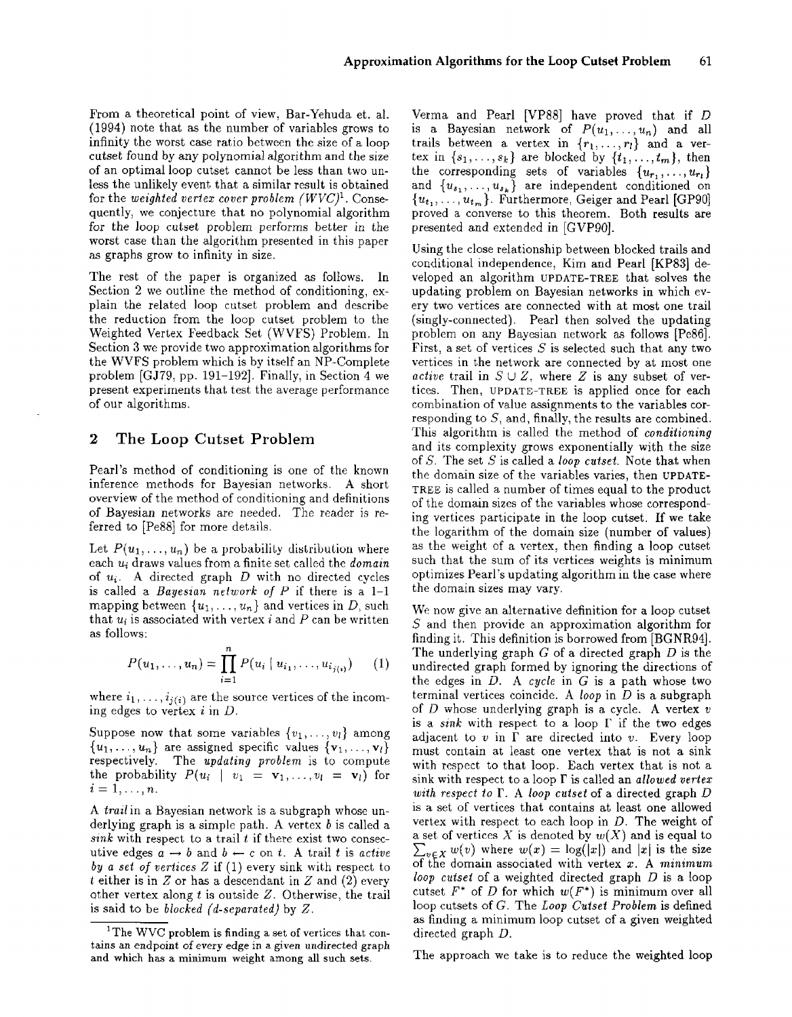From a theoretical point of view, Bar-Yehuda et. al. (1994) note that as the number of variables grows to infinity the worst case ratio between the size of a loop cutset found by any polynomial algorithm and the size of an optimal loop cutset cannot be less than two unless the unlikely event that a similar result is obtained for the *weighted vertex cover problem (WVC)1.* Consequently, we conjecture that no polynomial algorithm for the loop cutset problem performs better in the worst case than the algorithm presented in this paper as graphs grow to infinity in size.

The rest of the paper is organized as follows. In Section 2 we outline the method of conditioning, explain the related loop cutset problem and describe the reduction from the loop cutset problem to the Weighted Vertex Feedback Set (WVFS) Problem. In Section 3 we provide two approximation algorithms for the WVFS problem which is by itself an NP-Complete problem [GJ79, pp. 191-192]. Finally, in Section 4 we present experiments that test the average performance of our algorithms.

### 2 The Loop Cutset Problem

Pearl's method of conditioning is one of the known inference methods for Bayesian networks. A short overview of the method of conditioning and definitions of Bayesian networks are needed. The reader is referred to [Pe88] for more details.

Let  $P(u_1,..., u_n)$  be a probability distribution where each ui draws values from a finite set called the *domain* of *ui.* A directed graph D with no directed cycles is called a *Bayesian network of P* if there is a 1-1 mapping between  $\{u_1, \ldots, u_n\}$  and vertices in D, such that  $u_i$  is associated with vertex i and P can be written as follows:

$$
P(u_1, \ldots, u_n) = \prod_{i=1}^n P(u_i \mid u_{i_1}, \ldots, u_{i_{j(i)}})
$$
 (1)

where  $i_1, \ldots, i_{j(i)}$  are the source vertices of the incoming edges to vertex i in D.

Suppose now that some variables  $\{v_1,\ldots,v_l\}$  among  $\{u_1,\ldots,u_n\}$  are assigned specific values  $\{v_1,\ldots,v_l\}$ respectively. The *updaling problem* is to compute the probability  $P(u_i \mid v_1 = v_1, \ldots, v_l = v_l)$  for  $i=1,\ldots,n$ .

*A trailin* a Bayesian network is a subgraph whose underlying graph is a simple path. A vertex  $b$  is called a *sink* with respect to a trail t if there exist two consecutive edges  $a \rightarrow b$  and  $b \leftarrow c$  on t. A trail t is *active by a set of vertices Z* if (1) every sink with respect to t either is in  $Z$  or has a descendant in  $Z$  and  $(2)$  every other vertex along  $t$  is outside  $Z$ . Otherwise, the trail is said to be *blocked (d-separated)* by Z.

Verma and Pearl [VP88] have proved that if D is a Bayesian network of  $P(u_1,...,u_n)$  and all trails between a vertex in  $\{r_1, \ldots, r_l\}$  and a vertex in  $\{s_1,\ldots,s_k\}$  are blocked by  $\{t_1,\ldots,t_m\}$ , then the corresponding sets of variables  $\{u_{r_1},\ldots,u_{r_l}\}$ and  $\{u_{s_1}, \ldots, u_{s_k}\}\$  are independent conditioned on  ${u_{t_1}, \ldots, u_{t_m}}$ . Furthermore, Geiger and Pearl [GP90] proved a converse to this theorem. Both results are presented and extended in [GvPg0].

Using the close relationship between blocked trails and conditional independence, Kim and Pearl [KP83] developed an algorithm UPDATE-TREE that solves the updating problem on Bayesian networks in which every two vertices are connected with at most one trail (singly-connected). Pearl then solved the updating problem on any Bayesian network as follows [Pe86]. First, a set of vertices  $S$  is selected such that any two vertices in the network are connected by at most one *active* trail in  $S \cup Z$ , where Z is any subset of vertices. Then, UPDATE-TREE iS applied once for each combination of value assignments to the variables corresponding to  $S$ , and, finally, the results are combined. This algorithm is called the method of *conditioning* and its complexity grows exponentially with the size of S. The set S is called a *loop cutset.* Note that when the domain size of the variables varies, then UPDATE-TREE is called a number of times equal to the product of the domain sizes of the variables whose corresponding vertices participate in the loop cutset. If we take the logarithm of the domain size (number of values) as the weight of a vertex, then finding a loop cutset such that the sum of its vertices weights is minimum optimizes Pearl's updating algorithm in the case where the domain sizes may vary.

We now give an alternative definition for a loop cutset S and then provide an approximation algorithm for finding it. This definition is borrowed from [BGNR94]. The underlying graph  $G$  of a directed graph  $D$  is the undirected graph formed by ignoring the directions of the edges in D. A *cycle* in G is a path whose two terminal vertices coincide. A *loop* in D is a subgraph of  $D$  whose underlying graph is a cycle. A vertex  $v$ is a *sink* with respect to a loop  $\Gamma$  if the two edges adjacent to  $v$  in  $\Gamma$  are directed into  $v$ . Every loop must contain at ieast one vertex that is not a sink with respect to that loop. Each vertex that is not a sink with respect to a loop  $\Gamma$  is called an *allowed vertex with respect to I'. A loop cutset* of a directed graph D is a set of vertices that contains at least one allowed vertex with respect to each loop in D. The weight of a set of vertices  $X$  is denoted by  $w(X)$  and is equal to  $\sum_{v \in X} w(v)$  where  $w(x) = \log(|x|)$  and  $|x|$  is the size of the domain associated with vertex x. A *minimum loop cutset* of a weighted directed graph D is a loop cutset  $F^*$  of D for which  $w(F^*)$  is minimum over all loop cutsets of G. The *Loop Cutset Problem* is defined as finding a minimum loop cutset of a given weighted directed graph D.

The approach we take is to reduce the weighted loop

 $1$ The WVC problem is finding a set of vertices that contains an endpoint of every edge in a given undirected graph and which has a minimum weight among all such sets.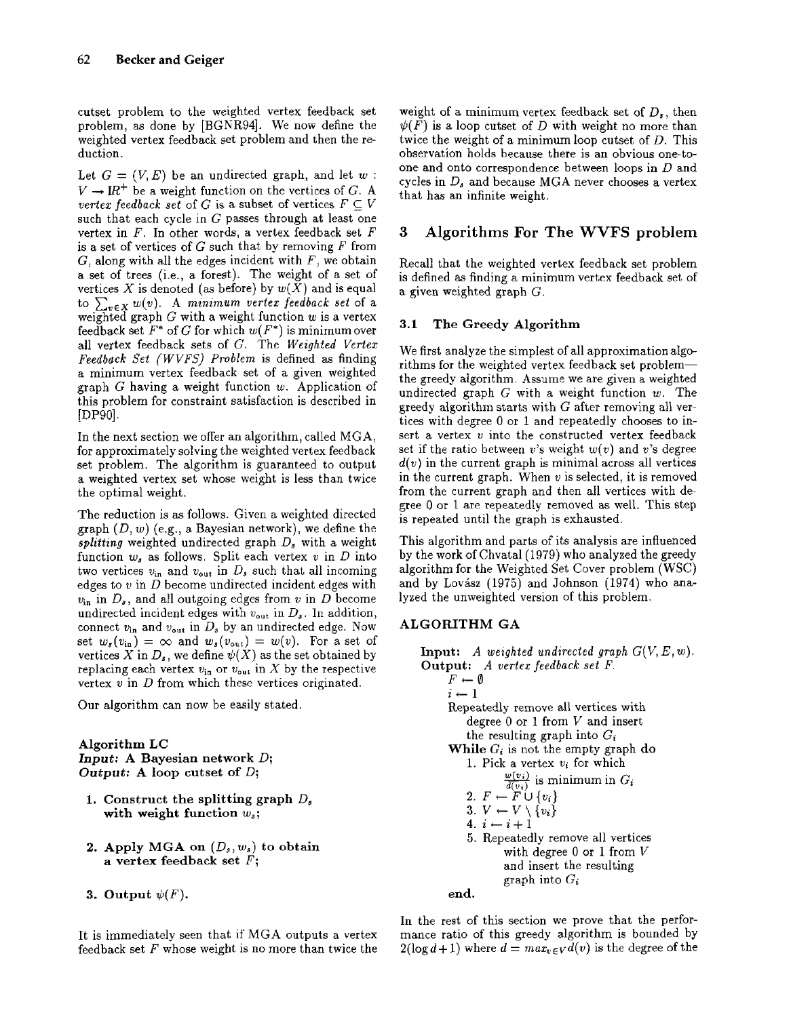cutset problem to the weighted vertex feedback set problem, as done by [BGNR94]. We now define the weighted vertex feedback set problem and then the reduction.

Let  $G = (V, E)$  be an undirected graph, and let w:  $V \rightarrow IR^{+}$  be a weight function on the vertices of G. A *vertex feedback set* of G is a subset of vertices  $F \subseteq V$ such that each cycle in  $G$  passes through at least one vertex in  $F$ . In other words, a vertex feedback set  $F$ **is a set** of vertices of G such that by removing F from  $G$ , along with all the edges incident with  $F$ , we obtain a set of trees (i.e., a forest). The weight of a set of vertices X is denoted (as before) by  $w(X)$  and is equal to  $\sum_{v\in X} w(v)$ . A minimum vertex feedback set of weighted graph G with a weight function  $w$  is a vertex feedback set  $F^*$  of G for which  $w(F^*)$  is minimum over all vertex feedback sets of G. The *Weighted Vertex Feedback Set (WVFS) Problem* is defined as finding a minimum vertex feedback set of a given weighted graph G having a weight function *w.* Application of this problem for constraint satisfaction is described in [DP90].

In the next section we offer an algorithm, called MGA, for approximately solving the weighted vertex feedback set problem. The algorithm is guaranteed to output a weighted vertex set whose weight is less than twice the optimal weight.

The reduction is as follows. Given a weighted directed graph  $(D, w)$  (e.g., a Bayesian network), we define the *splitting* weighted undirected graph  $D_s$  with a weight function  $w_s$  as follows. Split each vertex v in D into two vertices  $v_{\rm in}$  and  $v_{\rm out}$  in  $D_s$  such that all incoming edges to  $v$  in  $D$  become undirected incident edges with  $v_{\rm in}$  in  $D_s$ , and all outgoing edges from v in D become undirected incident edges with  $v_{\text{out}}$  in  $D_s$ . In addition, connect  $v_{\text{in}}$  and  $v_{\text{out}}$  in  $D_s$  by an undirected edge. Now set  $w_s(v_{\rm in}) = \infty$  and  $w_s(v_{\rm out}) = w(v)$ . For a set of vertices X in  $D_s$ , we define  $\psi(X)$  as the set obtained by replacing each vertex  $v_{\text{in}}$  or  $v_{\text{out}}$  in X by the respective vertex  $v$  in  $D$  from which these vertices originated.

Our algorithm can now be easily stated.

**Algorithm LC** *Input:* **A Bayesian network D;** *Output:* **A loop outset of D;**

- 1. Construct the splitting graph  $D_s$ **with weight** function w,;
- 2. Apply MGA on  $(D_s, w_s)$  to obtain a vertex feedback set  $F$ ;
- **3. Output**  $\psi(F)$ .

It is immediately seen that if MGA outputs a vertex feedback set  $F$  whose weight is no more than twice the weight of a minimum vertex feedback set of  $D<sub>s</sub>$ , then  $\psi(F)$  is a loop cutset of D with weight no more than twice the weight of a minimum loop cutset of  $D$ . This observation holds because there is an obvious one-toone and onto correspondence between loops **in** D and cycles in  $D_s$  and because MGA never chooses a vertex that has an infinite weight.

# **3 Algorithms For The WVFS problem**

Recall that the weighted vertex feedback set problem is defined as finding a minimum vertex feedback set of a given weighted graph G.

### 3.1 The Greedy **Algorithm**

We first analyze the simplest of all approximation algorithms for the weighted vertex feedback set problem- the greedy algorithm. Assume we are given a weighted undirected graph  $G$  with a weight function  $w$ . The greedy algorithm starts with  $G$  after removing all vertices with degree 0 or 1 and repeatedly chooses to insert a vertex  $v$  into the constructed vertex feedback set if the ratio between v's weight  $w(v)$  and v's degree  $d(v)$  in the current graph is minimal across all vertices in the current graph. When  $v$  is selected, it is removed from the current graph and then all vertices with degree  $0$  or  $1$  are repeatedly removed as well. This step is repeated until the graph is exhausted.

This algorithm and parts of its analysis are influenced by the work of Chvatal (1979) who analyzed the greedy algorithm for the Weighted Set Cover problem (WSC) and by Lovász (1975) and Johnson (1974) who analyzed the unweighted version of this problem.

# ALGORITHM GA

Input: *A weighted undirected graph G(V, E,w).* Output: *A vertex feedback set F.*

 $F\leftarrow\emptyset$  $i \leftarrow 1$ Repeatedly remove all vertices with degree  $0$  or 1 from  $V$  and insert the resulting graph into *Gi* While *Gi* is not the empty graph do 1. Pick a vertex  $v_i$  for which  $\frac{w(v_i)}{d(v_i)}$  is minimum in  $G_i$ 2.  $F \leftarrow F \cup \{v_i\}$ <br>3.  $V \leftarrow V \setminus \{v_i\}$ 4.  $i \leftarrow i+1$ 5. Repeatedly remove all vertices with degree 0 or 1 from V and insert the resulting graph into  $G_i$ 

 $_{\rm end.}$ 

In the rest of this section we prove that the performance ratio of this greedy algorithm is bounded by  $2(\log d+1)$  where  $d = max_{v \in V} d(v)$  is the degree of the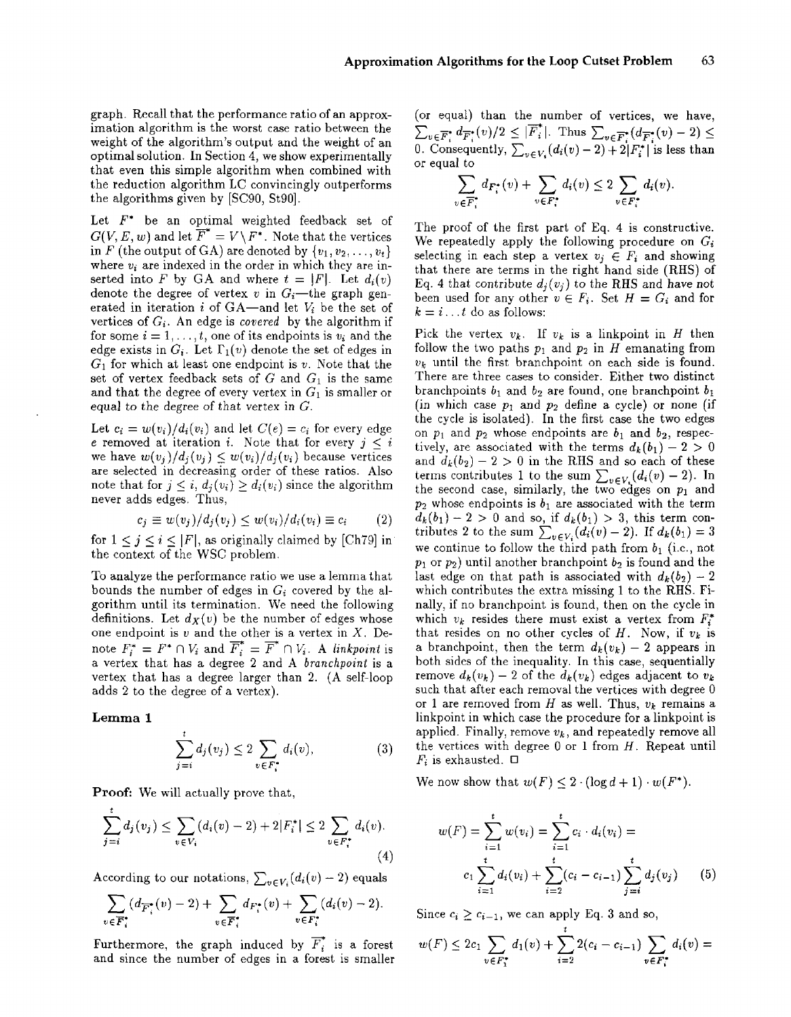graph. Recall that the performance ratio of an approximation algorithm is the worst case ratio between the weight of the algorithm's output and the weight of an optimal solution. In Section 4, we show experimentally that even this simple algorithm when combined with the reduction algorithm LC convincingly outperforms the algorithms given by [SC90, St90].

Let  $F^*$  be an optimal weighted feedback set of  $G(V, E, w)$  and let  $\overline{F}^* = V\backslash F^*$ . Note that the vertices in F (the output of GA) are denoted by  $\{v_1, v_2, \ldots, v_t\}$ where  $v_i$  are indexed in the order in which they are inserted into F by GA and where  $t = |F|$ . Let  $d_i(v)$ denote the degree of vertex v in  $G_i$ —the graph generated in iteration i of  $GA$ —and let  $V_i$  be the set of vertices of *Gi.* An edge is *covered* by the algorithm if for some  $i = 1, ..., t$ , one of its endpoints is  $v_i$  and the edge exists in  $G_i$ . Let  $\Gamma_1(v)$  denote the set of edges in  $G_1$  for which at least one endpoint is v. Note that the set of vertex feedback sets of  $G$  and  $G_1$  is the same and that the degree of every vertex in  $G_1$  is smaller or equal to the degree of that vertex in  $G$ .

Let  $c_i = w(v_i)/d_i(v_i)$  and let  $C(e) = c_i$  for every edge e removed at iteration *i*. Note that for every  $j \leq i$ we have  $w(v_j)/d_i(v_j) \leq w(v_i)/d_i(v_i)$  because vertices are selected in decreasing order of these ratios. Also note that for  $j \leq i$ ,  $d_i(v_i) \geq d_i(v_i)$  since the algorithm never adds edges. Thus,

$$
c_j \equiv w(v_j)/d_j(v_j) \le w(v_i)/d_i(v_i) \equiv c_i \qquad (2)
$$

for  $1 \leq j \leq i \leq |F|$ , as originally claimed by [Ch79] in the context of the WSC problem.

To analyze the performance ratio we use a lemma that bounds the number of edges in  $G_i$  covered by the algorithm until its termination. We need the following definitions. Let  $d_X(v)$  be the number of edges whose one endpoint is  $v$  and the other is a vertex in  $X$ . Denote  $F_i^* = F^* \cap V_i$  and  $\overline{F}_i^* = \overline{F}^* \cap V_i$ . A *linkpoint* a vertex that has a degree 2 and A *branchpoint* is vertex that has a degree larger than 2. (A self-loop adds 2 to the degree of a vertex).

**Lemma** 1

$$
\sum_{j=i}^{t} d_j(v_j) \le 2 \sum_{v \in F_i^*} d_i(v), \tag{3}
$$

Proof: We will actually prove that,

$$
\sum_{j=i}^{i} d_j(v_j) \le \sum_{v \in V_i} (d_i(v) - 2) + 2|F_i^*| \le 2 \sum_{v \in F_i^*} d_i(v).
$$
\n(4)

According to our notations,  $\sum_{v \in V_i} (d_i(v) - 2)$  equals

$$
\sum_{v \in \overline{F}^*_i} (d_{\overline{F}^*_i}(v) - 2) + \sum_{v \in \overline{F}^*_i} d_{F^*_i}(v) + \sum_{v \in F^*_i} (d_i(v) - 2).
$$

Furthermore, the graph induced by  $\overline{F}_i^*$  is a forest and since the number of edges in a forest is smaller (or equal) than the number of vertices, we have,  $\sum_{v \in \overline{F}^*_i} d_{\overline{F}^*_i}(v)/2 \leq |\overline{F}^*_i|$ . Thus  $\sum_{v \in \overline{F}^*_i} (d_{\overline{F}^*_i}(v) - 2)$ 0. Consequently,  $\sum_{v \in V_i}(d_i(v) - 2) + 2|F^*_i|$  is less tha or equal to

$$
\sum_{v \in \overline{F}^*_i} d_{F_i^*}(v) + \sum_{v \in F_i^*} d_i(v) \leq 2 \sum_{v \in F_i^*} d_i(v).
$$

The proof of the first part of Eq. 4 is constructive. We repeatedly apply the following procedure on *Gi* selecting in each step a vertex  $v_j \in F_i$  and showing that there are terms in the right hand side (RHS) of Eq. 4 that contribute  $d_i(v_i)$  to the RHS and have not been used for any other  $v \in F_i$ . Set  $H = G_i$  and for  $k = i \dots t$  do as follows:

Pick the vertex  $v_k$ . If  $v_k$  is a linkpoint in H then follow the two paths  $p_1$  and  $p_2$  in H emanating from  $v_k$  until the first branchpoint on each side is found. There are three cases to consider. Either two distinct branchpoints  $b_1$  and  $b_2$  are found, one branchpoint  $b_1$ (in which case  $p_1$  and  $p_2$  define a cycle) or none (if the cycle is isolated). In the first case the two edges on  $p_1$  and  $p_2$  whose endpoints are  $b_1$  and  $b_2$ , respectively, are associated with the terms  $d_k(b_1) - 2 > 0$ and  $d_k(b_2) - 2 > 0$  in the RHS and so each of these terms contributes 1 to the sum  $\sum_{v \in V_i} (d_i(v) - 2)$ . In the second case, similarly, the two edges on  $p_1$  and  $p_2$  whose endpoints is  $b_1$  are associated with the term  $d_k(b_1) - 2 > 0$  and so, if  $d_k(b_1) > 3$ , this term contributes 2 to the sum  $\sum_{v \in V_i} (d_i(v) - 2)$ . If  $d_k(b_1) = 3$ we continue to follow the third path from  $b_1$  (i.e., not  $p_1$  or  $p_2$ ) until another branchpoint  $b_2$  is found and the last edge on that path is associated with  $d_k(b_2) - 2$ which contributes the extra missing 1 to the RHS. Finally, if no branchpoint is found, then on the cycle in which  $v_k$  resides there must exist a vertex from  $F_i^*$ that resides on no other cycles of H. Now, if  $v_k$  is a branchpoint, then the term  $d_k(v_k) - 2$  appears in both sides of the inequality. In this case, sequentially remove  $d_k(v_k) - 2$  of the  $d_k(v_k)$  edges adjacent to  $v_k$ such that after each removal the vertices with degree 0 or 1 are removed from H as well. Thus,  $v_k$  remains a linkpoint in which case the procedure for a linkpoint is applied. Finally, remove  $v_k$ , and repeatedly remove all the vertices with degree  $0$  or 1 from  $H$ . Repeat until  $F_i$  is exhausted.  $\Box$ 

We now show that  $w(F) \leq 2 \cdot (\log d + 1) \cdot w(F^*)$ .

$$
w(F) = \sum_{i=1}^{t} w(v_i) = \sum_{i=1}^{t} c_i \cdot d_i(v_i) =
$$
  

$$
c_1 \sum_{i=1}^{t} d_i(v_i) + \sum_{i=2}^{t} (c_i - c_{i-1}) \sum_{j=i}^{t} d_j(v_j)
$$
 (5)

Since  $c_i \geq c_{i-1}$ , we can apply Eq. 3 and so,

$$
w(F) \leq 2c_1 \sum_{v \in F_1^*} d_1(v) + \sum_{i=2}^{\infty} 2(c_i - c_{i-1}) \sum_{v \in F_i^*} d_i(v) =
$$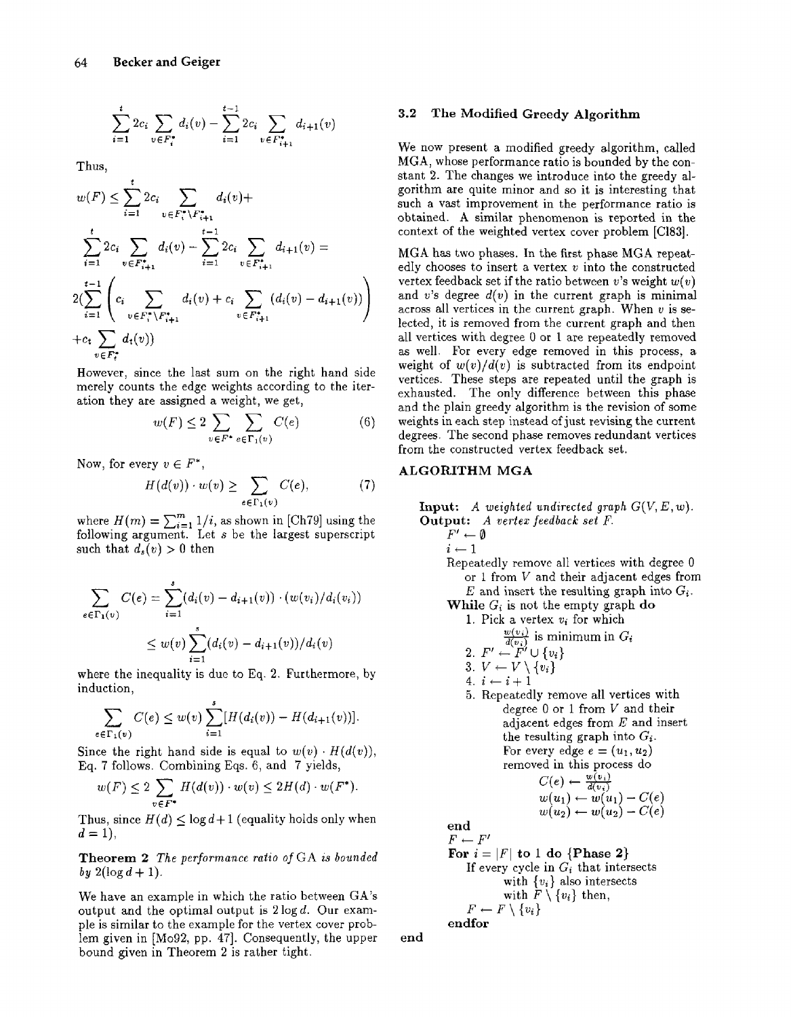$$
\sum_{i=1}^{t} 2c_i \sum_{v \in F_i^*} d_i(v) - \sum_{i=1}^{t-1} 2c_i \sum_{v \in F_{i+1}^*} d_{i+1}(v)
$$

Thus,

$$
w(F) \leq \sum_{i=1}^{t} 2c_i \sum_{v \in F_i^* \setminus F_{i+1}^*} d_i(v) +
$$
  

$$
\sum_{i=1}^{t} 2c_i \sum_{v \in F_{i+1}^*} d_i(v) - \sum_{i=1}^{t-1} 2c_i \sum_{v \in F_{i+1}^*} d_{i+1}(v) =
$$
  

$$
2(\sum_{i=1}^{t-1} \left( c_i \sum_{v \in F_i^* \setminus F_{i+1}^*} d_i(v) + c_i \sum_{v \in F_{i+1}^*} (d_i(v) - d_{i+1}(v)) \right)
$$
  

$$
+ c_t \sum_{v \in F_i^*} d_i(v)
$$

However, since the last sum on the right hand side merely counts the edge weights according to the iteration they are assigned a weight, we get,

$$
w(F) \le 2 \sum_{v \in F^*} \sum_{e \in \Gamma_1(v)} C(e) \tag{6}
$$

Now, for every  $v \in F^*$ ,

$$
H(d(v)) \cdot w(v) \ge \sum_{e \in \Gamma_1(v)} C(e), \tag{7}
$$

where  $H(m) = \sum_{i=1}^{m} 1/i$ , as shown in [Ch79] using the following argument. Let  $s$  be the largest superscript such that  $d_s(v) > 0$  then

$$
\sum_{e \in \Gamma_1(v)} C(e) = \sum_{i=1}^s (d_i(v) - d_{i+1}(v)) \cdot (w(v_i)/d_i(v_i))
$$
  
 
$$
\leq w(v) \sum_{i=1}^s (d_i(v) - d_{i+1}(v))/d_i(v)
$$

where the inequality is due to Eq. 2. Furthermore, by induction,

$$
\sum_{e \in \Gamma_1(v)} C(e) \le w(v) \sum_{i=1}^s [H(d_i(v)) - H(d_{i+1}(v))].
$$

Since the right hand side is equal to  $w(v) \cdot H(d(v)),$ Eq. 7 follows. Combining Eqs. 6, and 7 yields,

$$
w(F) \le 2 \sum_{v \in F^*} H(d(v)) \cdot w(v) \le 2H(d) \cdot w(F^*).
$$

Thus, since  $H(d) \leq \log d + 1$  (equality holds only when  $d=1$ ),

Theorem 2 *The performance ratio of* GA *is bounded*  $by 2(\log d + 1).$ 

We have an example in which the ratio between GA's output and the optimal output is  $2 \log d$ . Our example is similar to the example for the vertex cover problem given in [Mo92, pp. 47]. Consequently, the upper bound given in Theorem 2 is rather fight.

#### 3.2 The Modified Greedy **Algorithm**

We now present a modified greedy algorithm, called MGA, whose performance ratio is bounded by the constant 2. The changes we introduce into the greedy algorithm are quite minor and so it is interesting that such a vast improvement in the performance ratio is obtained. A similar phenomenon is reported in the context of the weighted vertex cover problem [C183].

MGA has two phases. In the first phase MGA repeatedly chooses to insert a vertex  $v$  into the constructed vertex feedback set if the ratio between v's weight *w(v)* and v's degree  $d(v)$  in the current graph is minimal across all vertices in the current graph. When  $v$  is selected, it is removed from the current graph and then all vertices with degree 0 or 1 are repeatedly removed as well. For every edge removed in this process, a weight of  $w(v)/d(v)$  is subtracted from its endpoint vertices. These steps are repeated until the graph is exhausted. The only difference between this phase and the plain greedy algorithm is the revision of some weights in each step instead of just revising the current degrees. The second phase removes redundant vertices from the constructed vertex feedback set.

#### **ALGORITHM MGA**

Input: *A weighted undirected graph G(V, E,w).*

**Output:** *A vertex feedback set F.*<br> $F' \leftarrow \emptyset$ 

 $i \leftarrow 1$ 

Repeatedly remove all vertices with degree 0 or 1 from V and their adjacent edges from E and insert the resulting graph into  $G_i$ .

While  $G_i$  is not the empty graph do 1. Pick a vertex  $v_i$  for which

 $\frac{w(v_i)}{w(v_i)}$  is minimum in G<sub>i</sub>

$$
\frac{d(v_i)}{d(v_i)}
$$
 is minimumum

2. 
$$
F' \leftarrow F' \cup \{v_i\}
$$
  
3. 
$$
V \leftarrow V \setminus \{v_i\}
$$

- 
- 4.  $i \leftarrow i+1$
- 5. Repeatedly remove all vertices with degree 0 or 1 from  $V$  and their adjacent edges from  $E$  and insert the resulting graph into  $G_i$ . For every edge  $e = (u_1, u_2)$ removed in this process do<br>  $C(e) \leftarrow \frac{w(v_i)}{d(v_i)}$ <br>  $w(u_1) \leftarrow w(u_1) - C(e)$ <br>  $w(u_2) \leftarrow w(u_2) - C(e)$  $_{\rm end}$  $F \leftarrow F'$ For  $i=|F|$  to 1 do {Phase 2}

If every cycle in 
$$
G_i
$$
 that intersects  
with  $\{v_i\}$  also intersects  
with  $F \setminus \{v_i\}$  then,  
 $F \leftarrow F \setminus \{v_i\}$   
endfor

end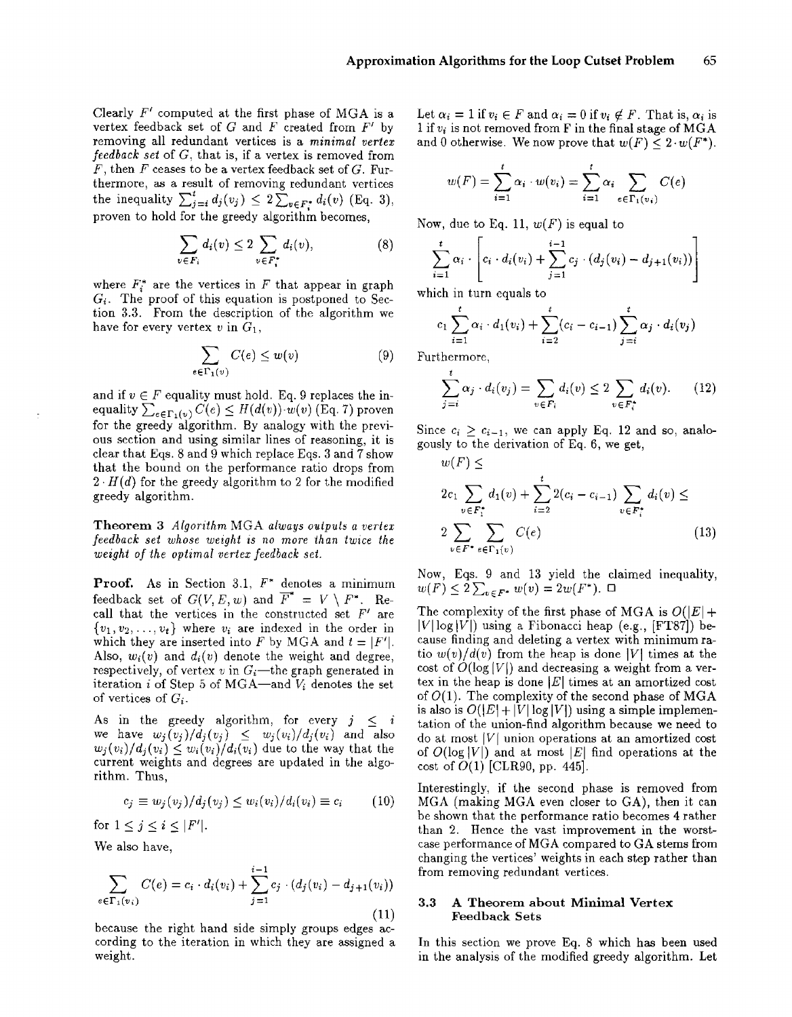Clearly  $F'$  computed at the first phase of MGA is a vertex feedback set of  $G$  and  $F$  created from  $F'$  by removing all redundant vertices is a *minimal vertex feedback set* of G, that is, if a vertex is removed from  $F$ , then  $F$  ceases to be a vertex feedback set of  $G$ . Furthermore, as a result of removing redundant vertices the inequality  $\sum_{j=i}^{\infty} d_j(v_j) \leq 2 \sum_{v \in F_i^*} d_i(v)$  (Eq. 3), proven to hold for the greedy algorithm becomes,

$$
\sum_{v \in F_i} d_i(v) \le 2 \sum_{v \in F_i^*} d_i(v), \tag{8}
$$

where  $F_i^*$  are the vertices in F that appear in graph  $G_i$ . The proof of this equation is postponed to Section 3.3. From the description of the algorithm we have for every vertex  $v$  in  $G_1$ ,

$$
\sum_{e \in \Gamma_1(v)} C(e) \le w(v) \tag{9}
$$

and if  $v \in F$  equality must hold. Eq. 9 replaces the inequality  $\sum_{e \in \Gamma_1(v)} C(e) \leq H(d(v)) \cdot w(v)$  (Eq. 7) proven for the greedy algorithm. By analogy with the previous section and using similar lines of reasoning, it is clear that Eqs. 8 and 9 which replace Eqs. 3 and 7 show that the bound on the performance ratio drops from *2. H(d)* for the greedy algorithm to 2 for the modified greedy algorithm.

Theorem 3 *Algorithm* MGA *always outputs a vertex feedback set whose weight is no more than twice the weight of the optimal vertex feedback* set.

**Proof.** As in Section 3.1,  $F^*$  denotes a minimum feedback set of  $G(V,E,w)$  and  $\overline{F}^* = V \setminus F^*$ . Recall that the vertices in the constructed set  $F'$  are  $\{v_1,v_2,\ldots,v_t\}$  where  $v_i$  are indexed in the order in which they are inserted into F by MGA and  $t = |F'|$ . Also,  $w_i(v)$  and  $d_i(v)$  denote the weight and degree, respectively, of vertex v in  $G_i$ —the graph generated in iteration i of Step 5 of MGA-and  $V_i$  denotes the set of vertices of *Gi.*

As in the greedy algorithm, for every  $j \leq i$ we have  $w_j(v_j)/d_j(v_j) \leq w_j(v_i)/d_j(v_i)$  and also  $w_i(v_i)/d_i(v_i) \leq w_i(v_i)/d_i(v_i)$  due to the way that the current weights and degrees are updated in the algorithm. Thus,

$$
c_j \equiv w_j(v_j)/d_j(v_j) \le w_i(v_i)/d_i(v_i) \equiv c_i \qquad (10)
$$

for  $1 \leq j \leq i \leq |F'|$ .

We also have,

$$
\sum_{e \in \Gamma_1(v_i)} C(e) = c_i \cdot d_i(v_i) + \sum_{j=1}^{i-1} c_j \cdot (d_j(v_i) - d_{j+1}(v_i))
$$
\n(11)

because the right hand side simply groups edges according to the iteration in which they are assigned a weight.

Let  $\alpha_i = 1$  if  $v_i \in F$  and  $\alpha_i = 0$  if  $v_i \notin F$ . That is,  $\alpha_i$  is 1 if  $v_i$  is not removed from F in the final stage of MGA and 0 otherwise. We now prove that  $w(F) \leq 2 \cdot w(F^*)$ .

$$
w(F) = \sum_{i=1}^{t} \alpha_i \cdot w(v_i) = \sum_{i=1}^{t} \alpha_i \sum_{e \in \Gamma_1(v_i)} C(e)
$$

Now, due to Eq. 11, 
$$
w(F)
$$
 is equal to  
\n
$$
\sum_{i=1}^t \alpha_i \cdot \left[ c_i \cdot d_i(v_i) + \sum_{j=1}^{i-1} c_j \cdot (d_j(v_i) - d_{j+1}(v_i)) \right]
$$

which in turn equals to

$$
c_1 \sum_{i=1}^t \alpha_i \cdot d_1(v_i) + \sum_{i=2}^t (c_i - c_{i-1}) \sum_{j=i}^t \alpha_j \cdot d_i(v_j)
$$

Furthermore,  $\rightarrow$ 

$$
\sum_{j=i}^{i} \alpha_j \cdot d_i(v_j) = \sum_{v \in F_i} d_i(v) \le 2 \sum_{v \in F_i^*} d_i(v). \tag{12}
$$

Since  $c_i \geq c_{i-1}$ , we can apply Eq. 12 and so, analogously to the derivation of Eq. 6, we get,

$$
w(F) \le
$$
  
\n
$$
2c_1 \sum_{v \in F_1^*} d_1(v) + \sum_{i=2}^t 2(c_i - c_{i-1}) \sum_{v \in F_i^*} d_i(v) \le
$$
  
\n
$$
2 \sum_{v \in F^*} \sum_{e \in \Gamma_1(v)} C(e) \tag{13}
$$

Now, Eqs. 9 and 13 yield the claimed inequality,  $w(F) \leq 2 \sum_{v \in F^*} w(v) = 2w(F^*)$ .  $\Box$ 

The complexity of the first phase of MGA is  $O(|E| +$  $|V|\log|V|$ ) using a Fibonacci heap (e.g., [FT87]) because finding and deleting a vertex with minimum ratio  $w(v)/d(v)$  from the heap is done |V| times at the cost of  $O(\log |V|)$  and decreasing a weight from a vertex in the heap is done  $|E|$  times at an amortized cost of  $O(1)$ . The complexity of the second phase of MGA is also is  $O(|E| + |V| \log |V|)$  using a simple implementation of the union-find algorithm because we need to do at most  $|V|$  union operations at an amortized cost of  $O(\log |V|)$  and at most |E| find operations at the cost of  $O(1)$  [CLR90, pp. 445].

Interestingly, if the second phase is removed from MGA (making MGA even closer to GA), then it can be shown that the performance ratio becomes 4 rather than 2. Hence the vast improvement in the worstcase performance of MGA compared to GA stems from changing the vertices' weights in each step rather than from removing redundant vertices.

#### 3.3 A Theorem about Minimal Vertex Feedback Sets

In this section we prove Eq. 8 which has been used in the analysis of the modified greedy algorithm. Let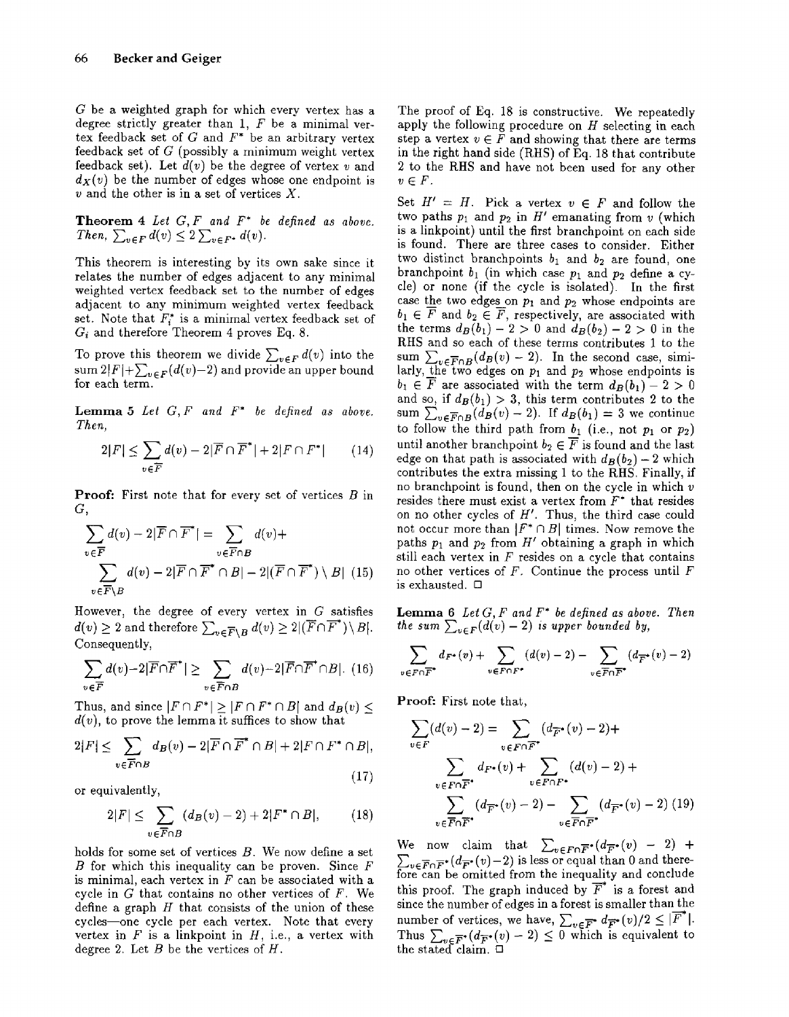$G$  be a weighted graph for which every vertex has a degree strictly greater than  $1, F$  be a minimal vertex feedback set of  $G$  and  $F^*$  be an arbitrary vertex feedback set of  $G$  (possibly a minimum weight vertex feedback set). Let  $d(v)$  be the degree of vertex v and  $d<sub>X</sub>(v)$  be the number of edges whose one endpoint is  $v$  and the other is in a set of vertices  $X$ .

**Theorem 4** *Let G,F and F\* be defined as above. Then,*  $\sum_{v \in F} d(v) \leq 2 \sum_{v \in F^*} d(v)$ .

This theorem is interesting by its own sake since it relates the number of edges adjacent to any minimal weighted vertex feedback set to the number of edges adjacent to any minimum weighted vertex feedback set. Note that  $F_i^*$  is a minimal vertex feedback set of  $G_i$  and therefore Theorem 4 proves Eq. 8.

To prove this theorem we divide  $\sum_{v \in F} d(v)$  into the  $\text{sum } 2|F| + \sum_{v \in F} (d(v)-2)$  and provide an upper bound for each term.

Lemma **5** *Let G,F and F\* be defined as above. Then,*

$$
2|F| \le \sum_{v \in \overline{F}} d(v) - 2|\overline{F} \cap \overline{F}^*| + 2|F \cap F^*| \qquad (14)
$$

**Proof:** First note that for every set of vertices  $B$  in G,

$$
\sum_{v \in \overline{F}} d(v) - 2|\overline{F} \cap \overline{F}^*| = \sum_{v \in \overline{F} \cap B} d(v) +
$$
  

$$
\sum_{v \in \overline{F} \setminus B} d(v) - 2|\overline{F} \cap \overline{F}^* \cap B| - 2|(\overline{F} \cap \overline{F}^*) \setminus B| \quad (15)
$$

However, the degree of every vertex in  $G$  satisfies  $d(v) \geq 2$  and therefore  $\sum_{v \in \overline{F} \setminus B} d(v) \geq 2 | (\overline{F} \cap \overline{F}^*) \setminus B|.$ Consequently,

$$
\sum_{v \in \overline{F}} d(v) - 2|\overline{F} \cap \overline{F}^*| \ge \sum_{v \in \overline{F} \cap B} d(v) - 2|\overline{F} \cap \overline{F}^* \cap B|. \tag{16}
$$

Thus, and since  $|F \cap F^*| \geq |F \cap F^* \cap B|$  and  $d_B(v) \leq$  $d(v)$ , to prove the lemma it suffices to show that

$$
2|F| \leq \sum_{v \in \overline{F} \cap B} d_B(v) - 2|\overline{F} \cap \overline{F}^* \cap B| + 2|F \cap F^* \cap B|,
$$
\n(17)

or equivalently,

$$
2|F| \leq \sum_{v \in \overline{F} \cap B} (d_B(v) - 2) + 2|F^* \cap B|, \qquad (18)
$$

holds for some set of vertices  $B$ . We now define a set B for which this inequality can be proven. Since  $F$ is minimal, each vertex in  $F$  can be associated with a cycle in  $G$  that contains no other vertices of  $F$ . We define a graph  $H$  that consists of the union of these cycles-one cycle per each vertex. Note that every vertex in  $F$  is a linkpoint in  $H$ , i.e., a vertex with degree 2. Let  $B$  be the vertices of  $H$ .

The proof of Eq. 18 is constructive. We repeatedly apply the following procedure on  $H$  selecting in each step a vertex  $v \in F$  and showing that there are terms in the right hand side (RHS) of Eq. 18 that contribute 2 to the RHS and have not been used for any other  $v\in F$ .

Set  $H' = H$ . Pick a vertex  $v \in F$  and follow the two paths  $p_1$  and  $p_2$  in  $H'$  emanating from v (which is a linkpoint) until the first branchpoint on each side is found. There are three cases to consider. Either two distinct branchpoints  $b_1$  and  $b_2$  are found, one branchpoint  $b_1$  (in which case  $p_1$  and  $p_2$  define a cycle) or none (if the cycle is isolated). In the first case the two edges on  $p_1$  and  $p_2$  whose endpoints are  $b_1 \in \overline{F}$  and  $b_2 \in \overline{F}$ , respectively, are associated with the terms  $d_B(b_1) - 2 > 0$  and  $d_B(b_2) - 2 > 0$  in the RHS and so each of these terms contributes 1 to the sum  $\sum_{v \in \overline{F} \cap B} (d_B(v) - 2)$ . In the second case, similarly, the two edges on  $p_1$  and  $p_2$  whose endpoints is  $b_1 \in \overline{F}$  are associated with the term  $d_B(b_1) - 2 > 0$ and so, if  $d_B(b_1) > 3$ , this term contributes 2 to the sum  $\sum_{v \in \overline{F} \cap B} (d_B(v) - 2)$ . If  $d_B(b_1) = 3$  we continue to follow the third path from  $b_1$  (i.e., not  $p_1$  or  $p_2$ ) until another branchpoint  $b_2 \in \overline{F}$  is found and the last edge on that path is associated with  $d_B(b_2) - 2$  which contributes the extra missing 1 to the RHS. Finally, if no branchpoint is found, then on the cycle in which  $v$ resides there must exist a vertex from  $F^*$  that resides on no other cycles of  $H'$ . Thus, the third case could not occur more than  $|F^* \cap B|$  times. Now remove the paths  $p_1$  and  $p_2$  from  $H'$  obtaining a graph in which still each vertex in  $F$  resides on a cycle that contains no other vertices of  $F$ . Continue the process until  $F$ is exhausted.  $\square$ 

**Lemma 6** *Let G, F and F\* be defined as above. Then the sum*  $\sum_{v \in F}(d(v) - 2)$  *is upper bounded by,* 

$$
\sum_{v \in F \cap \overline{F}^*} d_{F^*}(v) + \sum_{v \in F \cap F^*} (d(v) - 2) - \sum_{v \in \overline{F} \cap \overline{F}^*} (d_{\overline{F}^*}(v) - 2)
$$

Proofi First note that,

$$
\sum_{v \in F} (d(v) - 2) = \sum_{v \in F \cap \overline{F}^*} (d_{\overline{F}^*}(v) - 2) +
$$
\n
$$
\sum_{v \in F \cap \overline{F}^*} d_{F^*}(v) + \sum_{v \in F \cap F^*} (d(v) - 2) +
$$
\n
$$
\sum_{v \in \overline{F} \cap \overline{F}^*} (d_{\overline{F}^*}(v) - 2) - \sum_{v \in \overline{F} \cap \overline{F}^*} (d_{\overline{F}^*}(v) - 2) (19)
$$

We now claim that  $\sum_{v\in F\cap \overline{F}^*}(d_{\overline{F}^*}(v) - 2)$  $\angle_{v \in F \cap F^*(u) \to v}$  is less or equal than 0 and there-<br>fore can be omitted from the inequality and conclude this proof. The graph induced by  $\overline{F}^*$  is a forest and since the number of edges in a forest is smaller than the number of vertices, we have,  $\sum_{u \in \overline{F}^*} d_{\overline{F}^*}(v)/2 \leq |\overline{F}^*|$ . Thus  $\sum_{v \in \overline{F}^*} (d_{\overline{F}^*}(v) - 2) \leq 0$  which is equivalent to the stated claim.  $\Box$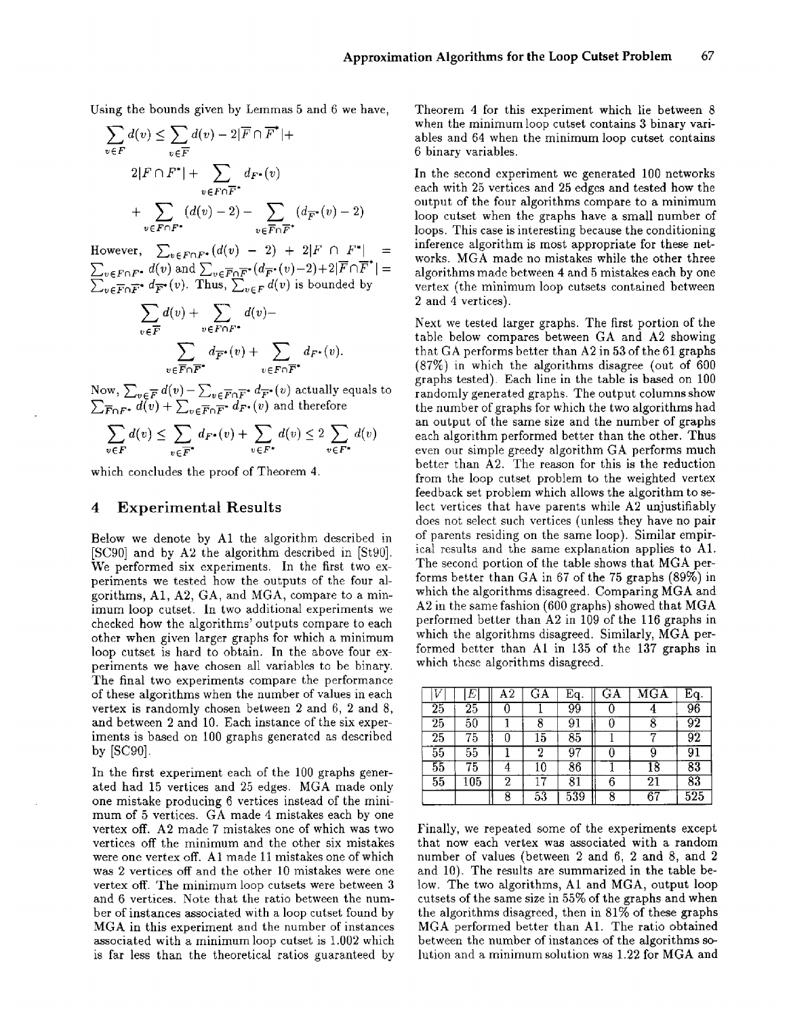Using the bounds given by Lemmas 5 and 6 we have,

$$
\sum_{v \in F} d(v) \le \sum_{v \in \overline{F}} d(v) - 2|\overline{F} \cap \overline{F}^*| +
$$
\n
$$
2|F \cap F^*| + \sum_{v \in F \cap \overline{F}^*} d_{F^*}(v)
$$
\n
$$
+ \sum_{v \in F \cap \overline{F}^*} (d(v) - 2) - \sum_{v \in \overline{F} \cap \overline{F}^*} (d_{\overline{F}^*}(v) - 2)
$$

However,  $\sum_{v \in F \cap F^*} (d(v) - 2) + 2|F \cap F^*| =$  $\sum_{v \in F \cap \overline{F}} \mathcal{A}(v) \text{ and } \sum_{v \in \overline{F} \cap \overline{F}} \mathcal{A}(v) - 2 + 2|\overline{F} \cap \overline{F}^*| =$ <br> $\sum_{v \in \overline{F} \cap \overline{F}} \mathcal{A}_{\overline{F}}(v). \text{ Thus, } \sum_{v \in F} \mathcal{A}(v) \text{ is bounded by}$ 

$$
\sum_{v \in \overline{F}} d(v) + \sum_{v \in F \cap F^*} d(v) -
$$
  

$$
\sum_{v \in \overline{F} \cap \overline{F}^*} d_{\overline{F}^*}(v) + \sum_{v \in F \cap \overline{F}^*} d_{F^*}(v).
$$

Now,  $\sum_{v \in \overline{F}} d(v) - \sum_{v \in \overline{F} \cap \overline{F}^{*}} d_{\overline{F}^{*}}(v)$  actually equals to  $\sum_{\overline{F}\cap F^*} d(v) + \sum_{v \in \overline{F}\cap \overline{F}^*} d_{F^*}(v)$  and therefore

$$
\sum_{v \in F} d(v) \leq \sum_{v \in \overline{F}^*} d_{F^*}(v) + \sum_{v \in F^*} d(v) \leq 2 \sum_{v \in F^*} d(v)
$$

which concludes the proof of Theorem 4.

#### **4 Experimental Results**

Below we denote by A1 the algorithm described in [SC90] and by A2 the algorithm described in [Stg0]. We performed six experiments. In the first two experiments we tested how the outputs of the four algorithms, A1, A2, GA, and MGA, compare to a minimum loop cutset. In two additional experiments we checked how the algorithms' outputs compare to each other when given larger graphs for which a minimum loop eutset is hard to obtain. In the above four experiments we have chosen all variables to be binary. The final two experiments compare the performance of these algorithms when the number of values in each vertex is randomly chosen between 2 and 6, 2 and 8, and between 2 and 10. Each instance of the six experiments is based on 100 graphs generated as described by [SC90].

In the first experiment each of the 100 graphs generated had 15 vertices and 25 edges. MGA made only one mistake producing 6 vertices instead of the minimum of 5 vertices. GA made 4 mistakes each by one vertex off. A2 made 7 mistakes one of which was two vertices off the minimum and the other six mistakes were one vertex off. A1 made 11 mistakes one of which was 2 vertices off and the other 10 mistakes were one vertex off. The minimum loop cutsets were between 3 and 6 vertices. Note that the ratio between the number of instances associated with a loop cutset found by MGA in this experiment and the number of instances associated with a minimum loop outset is 1.002 which is far less than the theoretical ratios guaranteed by Theorem 4 for this experiment which lie between 8 when the minimum loop cutset contains 3 binary variables and 64 when the minimum loop cutset contains 6 binary variables.

In the second experiment we generated 100 networks each with 25 vertices and 25 edges and tested how the output of the four algorithms compare to a minimum loop cutset when the graphs have a small number of loops. This case is interesting because the conditioning inference algorithm is most appropriate for these networks. MGA made no mistakes while the other three algorithms made between 4 and 5 mistakes each by one vertex (the minimum loop cutsets contained between 2 and 4 vertices).

Next we tested larger graphs. The first portion of the table below compares between GA and A2 showing that GA performs better than A2 in 53 of the 61 graphs (87%) in which the algorithms disagree (out of 600 graphs tested). Each line in the table is based on 100 randomly generated graphs. The output columns show the number of graphs for which the two algorithms had an output of the same size and the number of graphs each algorithm performed better than the other. Thus even our simple greedy algorithm GA performs much better than A2. The reason for this is the reduction from the loop cutset problem to the weighted vertex feedback set problem which allows the algorithm to select vertices that have parents while A2 unjustifiably does not select such vertices (unless they have no pair of parents residing on the same loop). Similar empirical results and the same explanation applies to A1. The second portion of the table shows that MGA performs better than GA in 67 of the 75 graphs (89%) in which the algorithms disagreed. Comparing MGA and A2 in the same fashion (600 graphs) showed that MGA performed better than A2 in 109 of the 116 graphs in which the algorithms disagreed. Similarly, MGA performed better than A1 in 135 of the 137 graphs in which these algorithms disagreed.

|                 | н,              | A2 | GΑ | Eq. | GА | $\overline{\rm MGA}$ | Eq. |
|-----------------|-----------------|----|----|-----|----|----------------------|-----|
| $\overline{25}$ | $\overline{25}$ |    |    | 99  |    | ٠ŧ                   | 96  |
| 25              | 50              |    |    | 91  |    |                      | 92  |
| $2\overline{5}$ | 75              |    | 15 | 85  |    |                      | 92  |
| 55              | 55              |    | ດ  | 97  |    | g                    | 91  |
| $\overline{55}$ | 75              | 4  |    | 86  |    | 18                   | 83  |
| $\overline{55}$ | 105             | 2  |    | 81  |    | 21                   | 83  |
|                 |                 | 8  | 53 | 539 | 8  | 67                   | 525 |

Finally, we repeated some of the experiments except that now each vertex was associated with a random number of values (between 2 and 6, 2 and 8, and 2 and 10). The results are summarized in **the table** below. The two algorithms, A1 and MGA, output loop cutsets of the same size in  $55\%$  of the graphs and when the algorithms disagreed, then in 81% of these graphs MGA performed better than A1. The ratio obtained between the number of instances of the algorithms solution and a minimum solution was 1.22 for MGA and